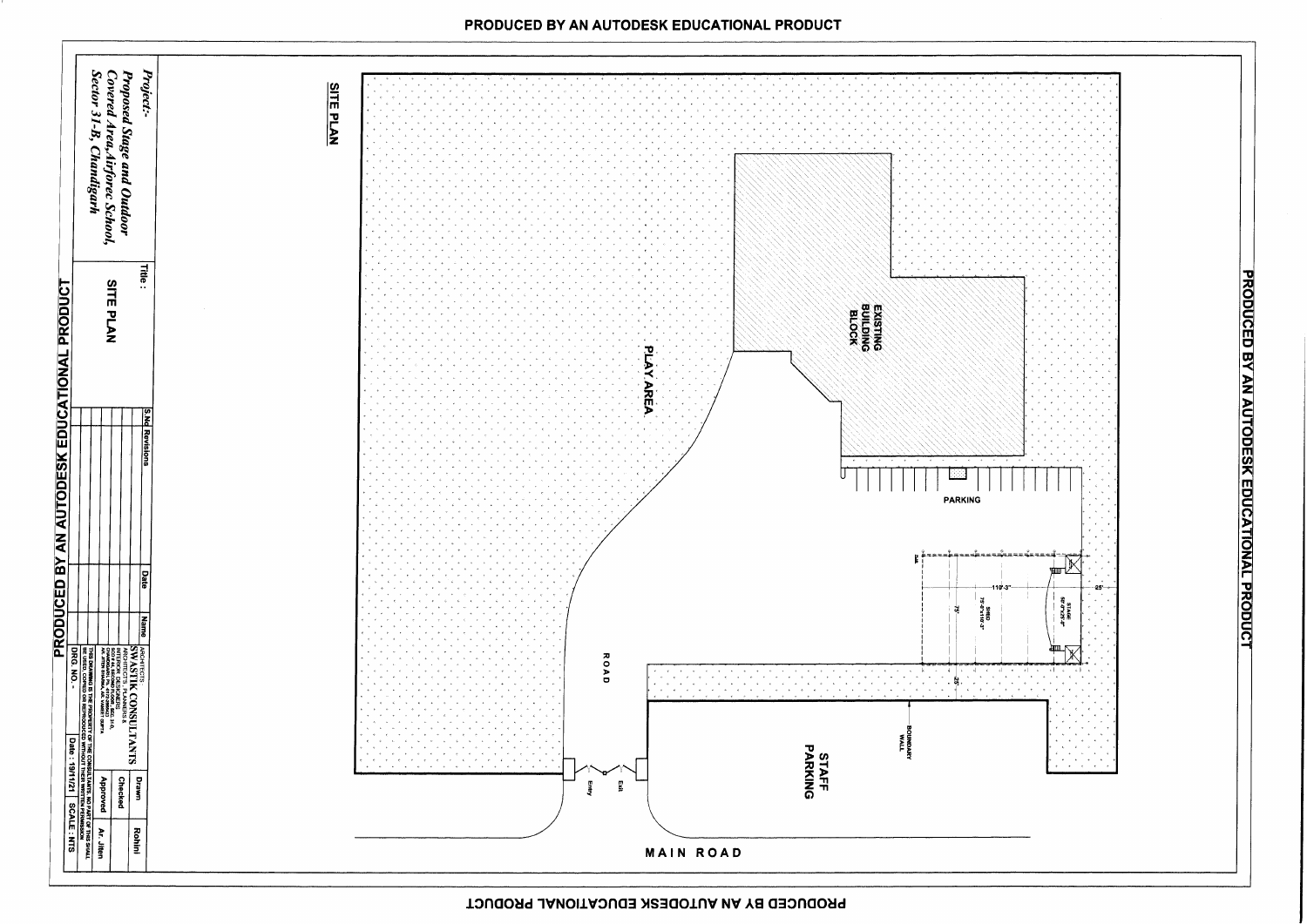

PRODUCED BY AN AUTODESK EDUCATIONAL PRODUCT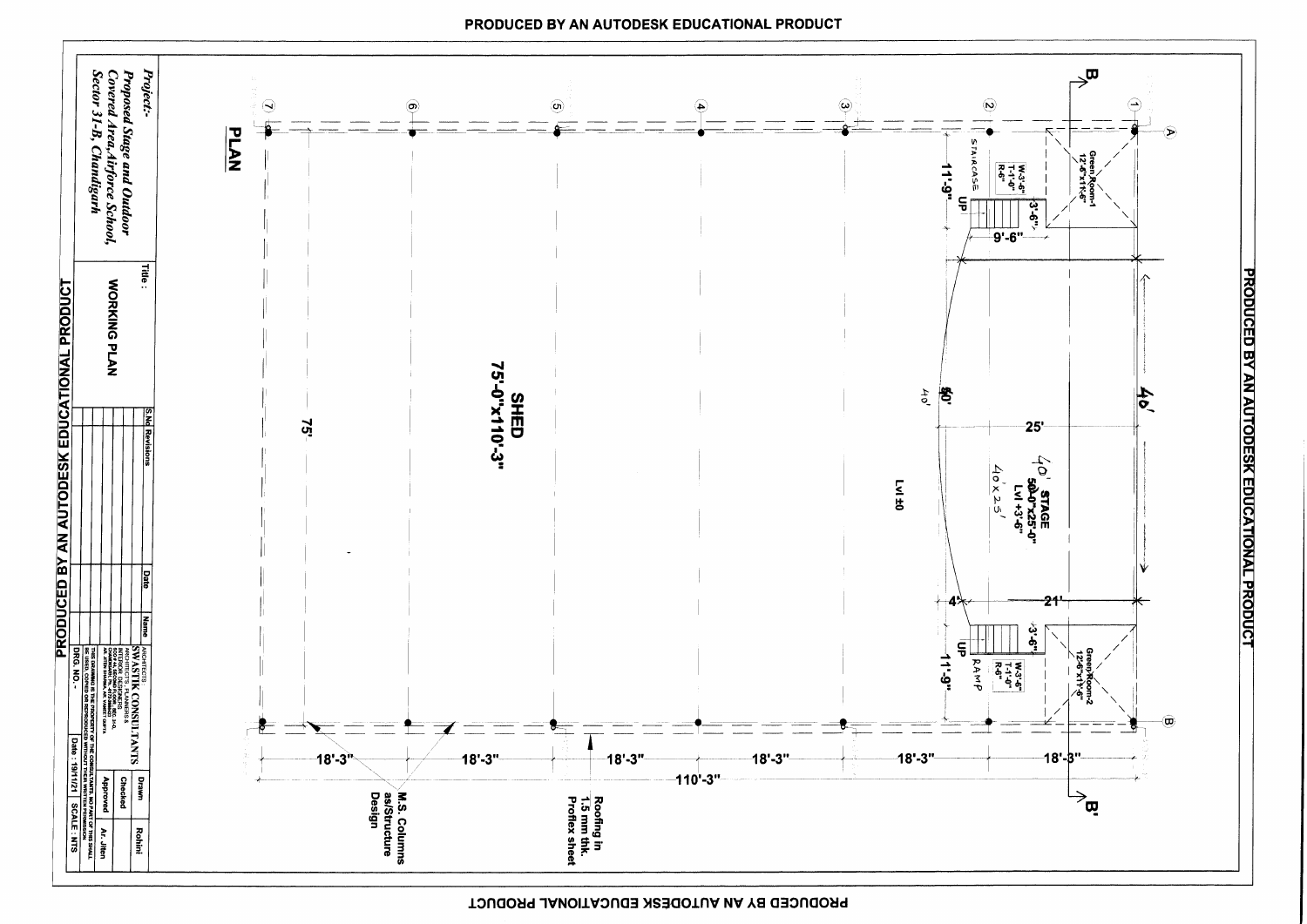

## PRODUCED BY AN AUTODESK EDUCATIONAL PRODUCT

PRODUCED BY AN AUTODÉSK EDUCATIONAL PRODUCT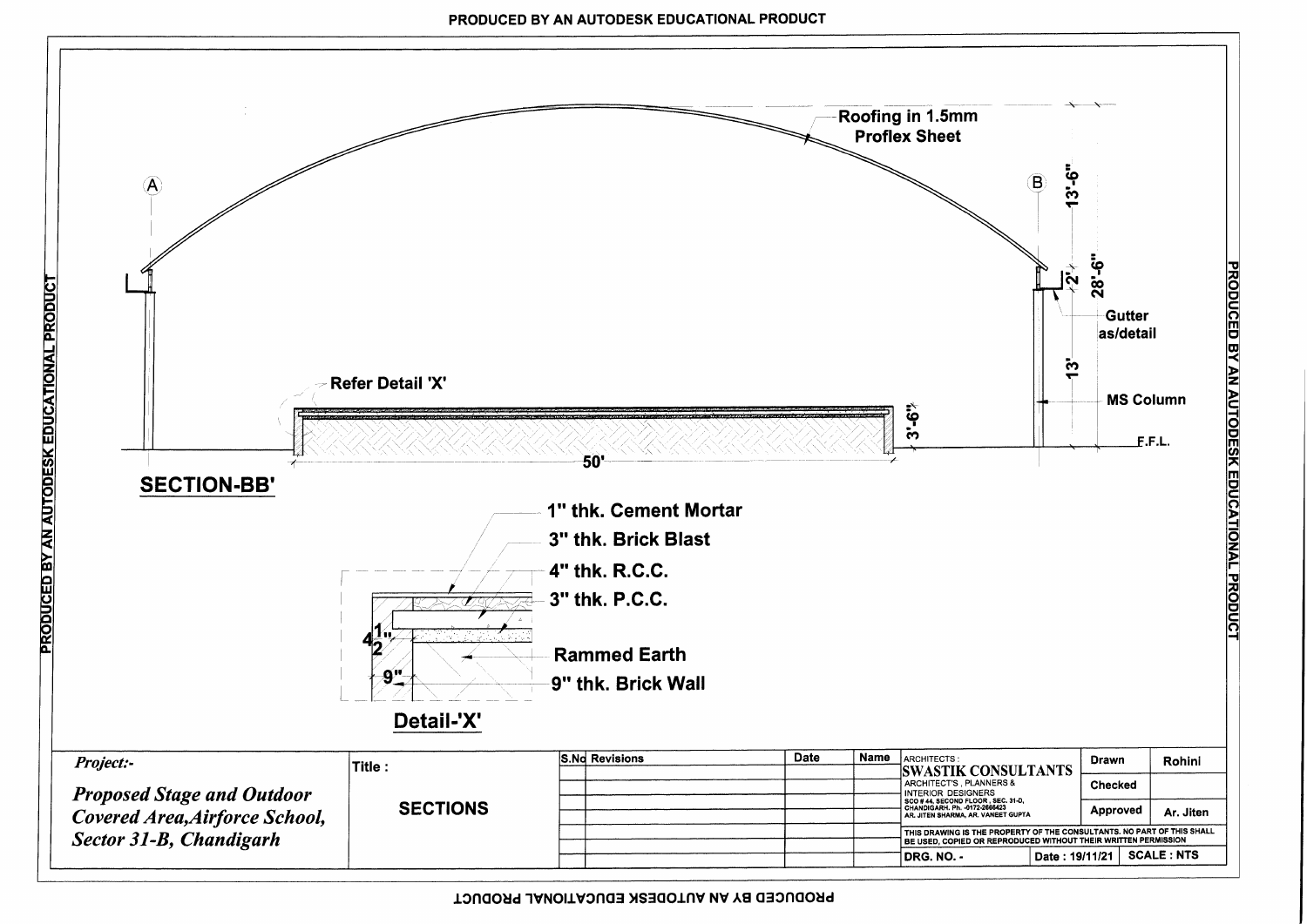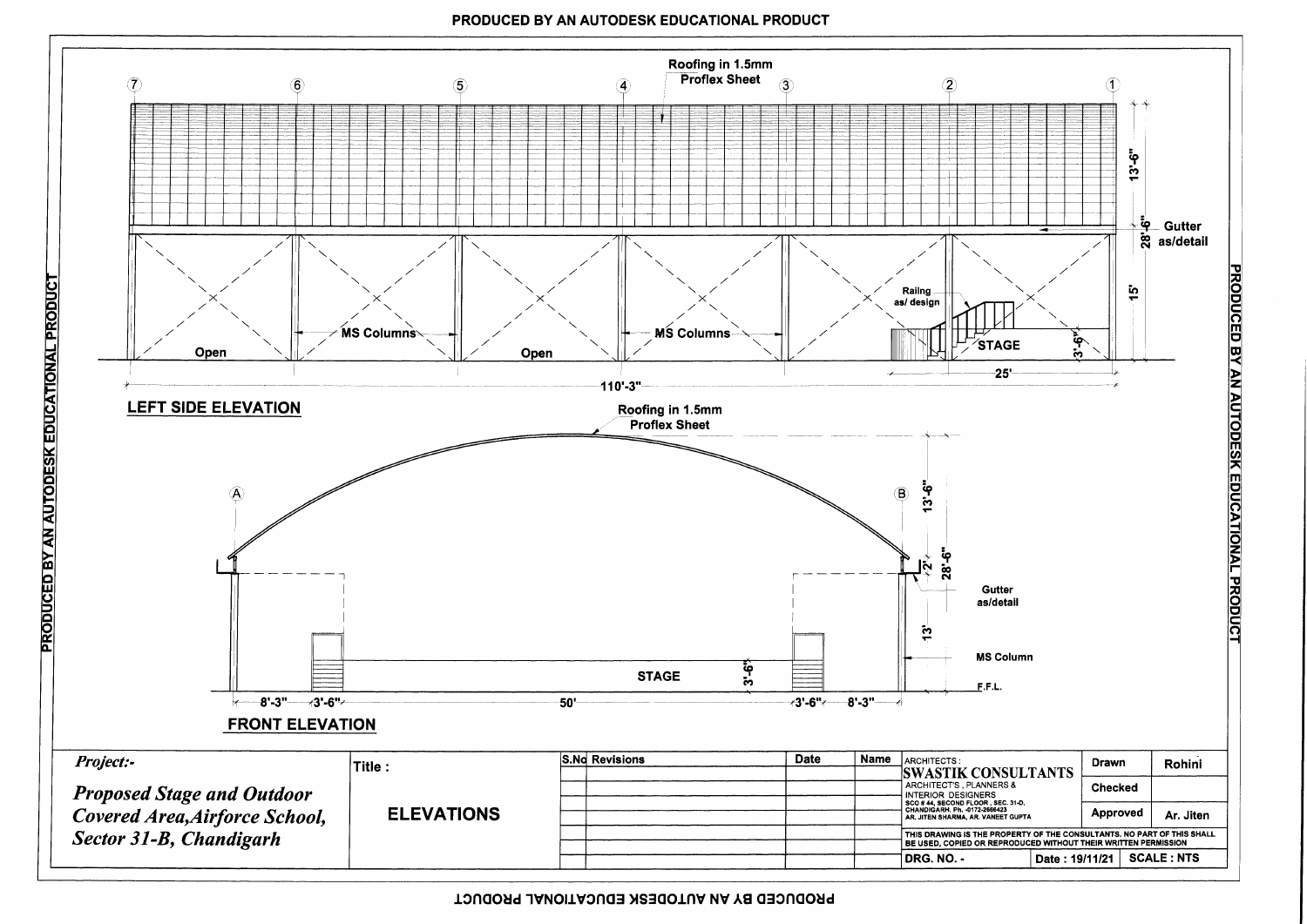

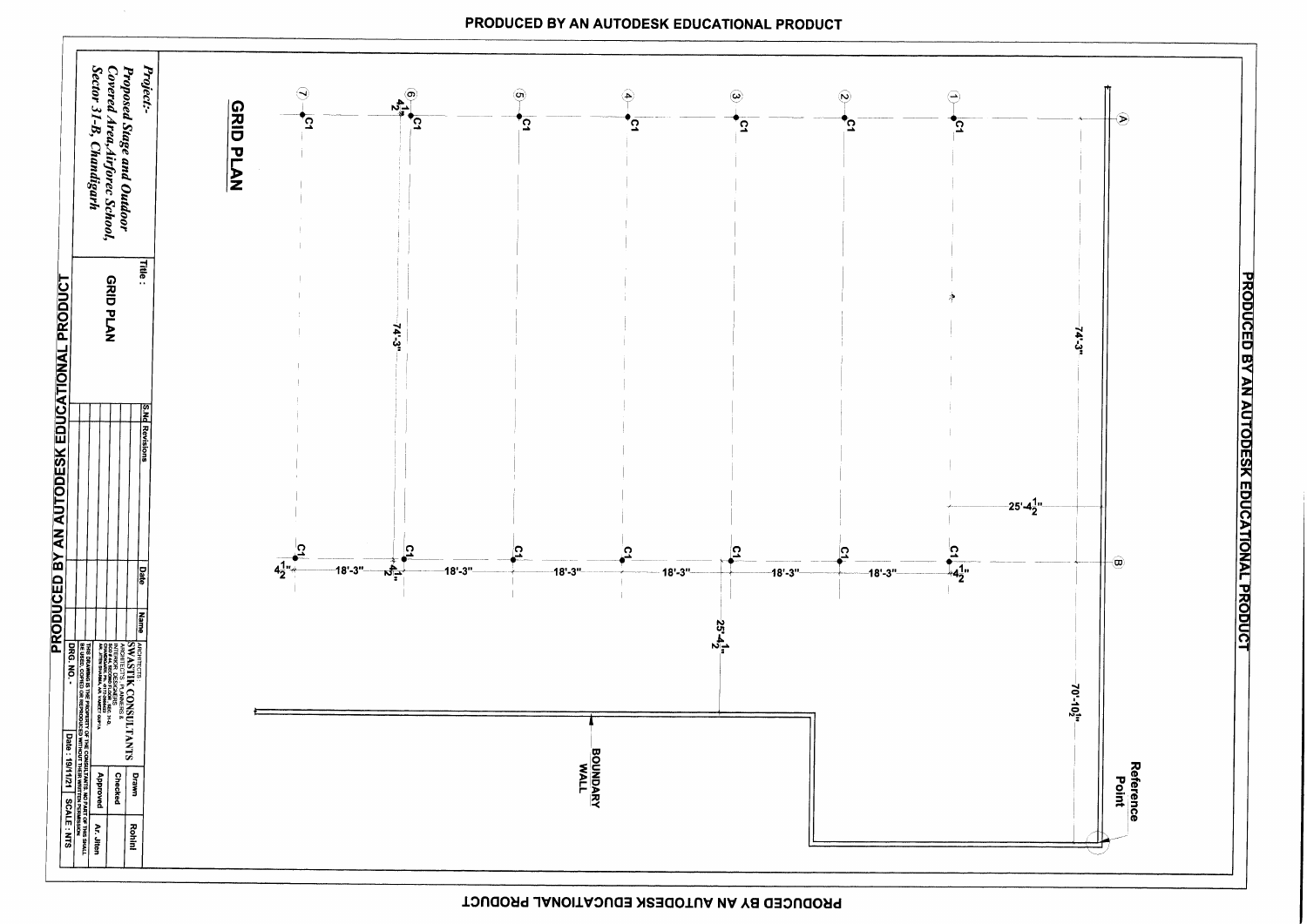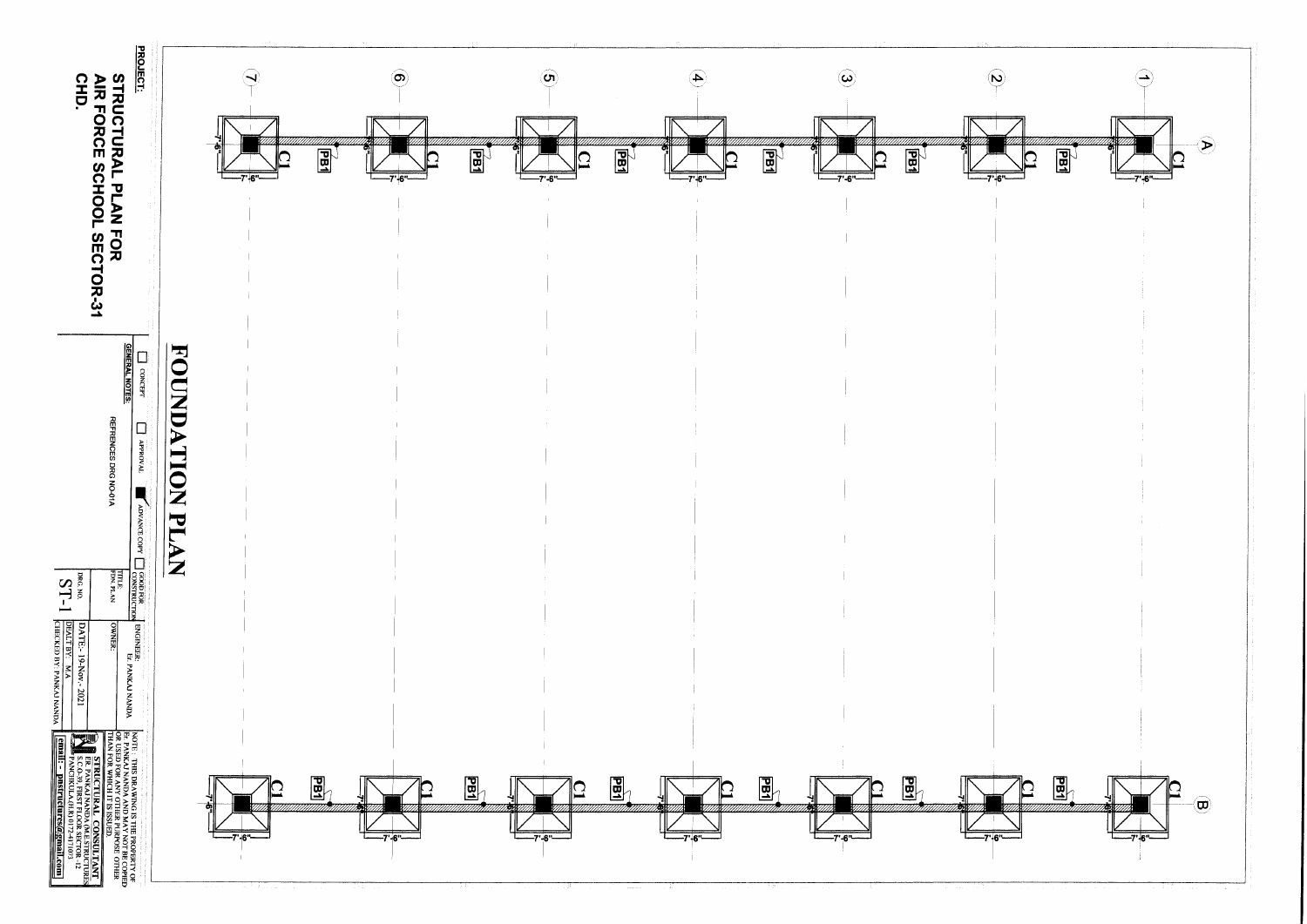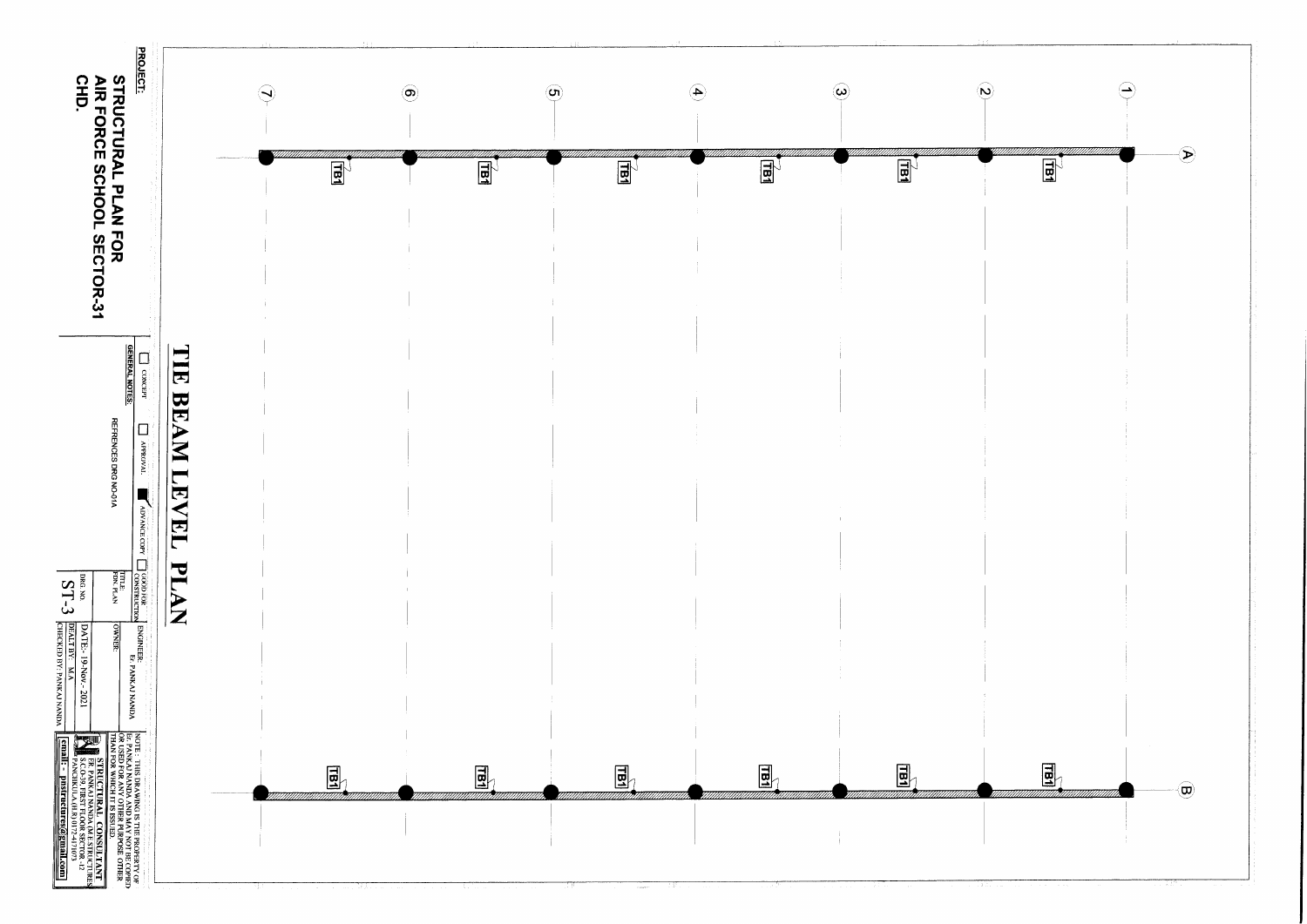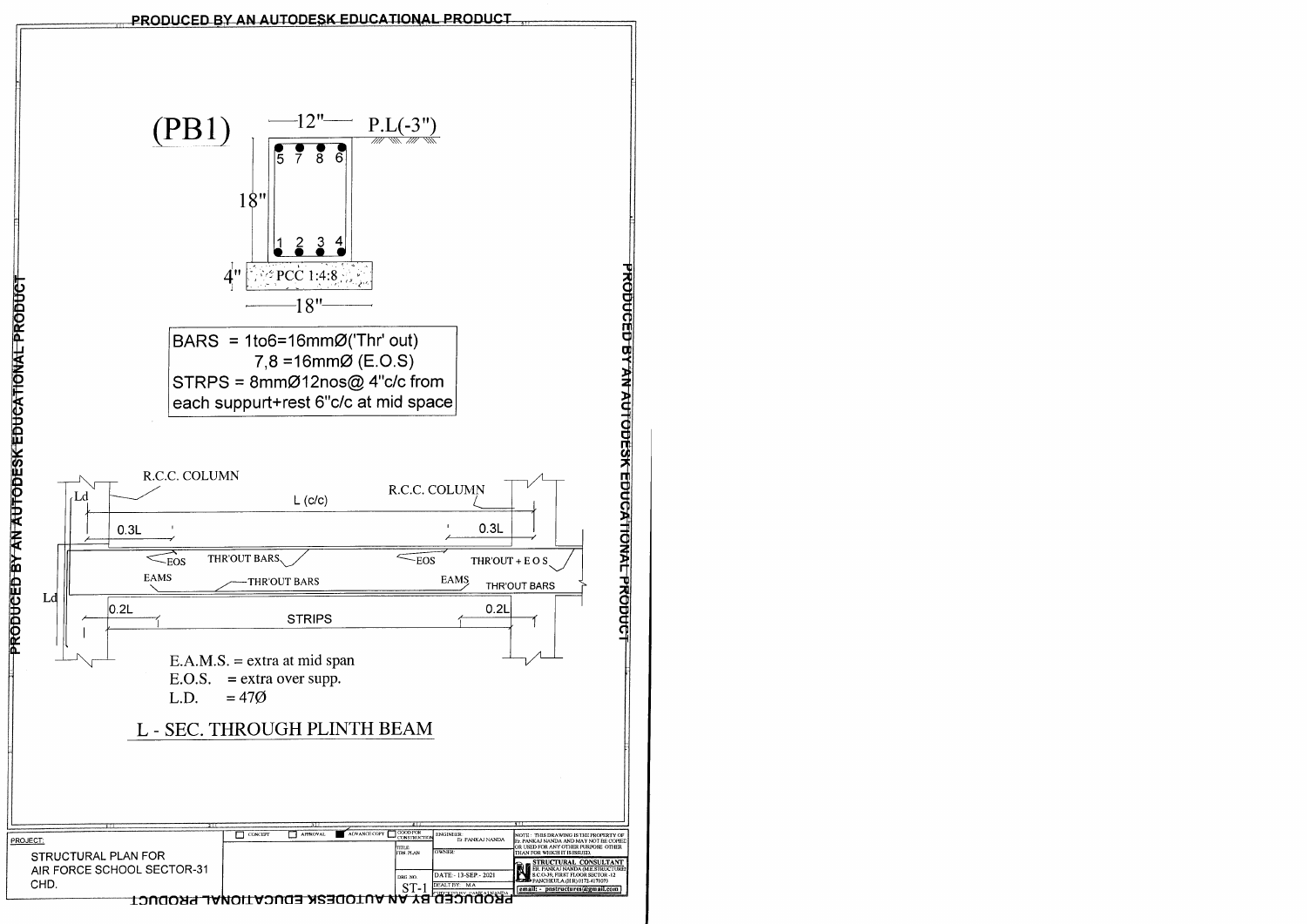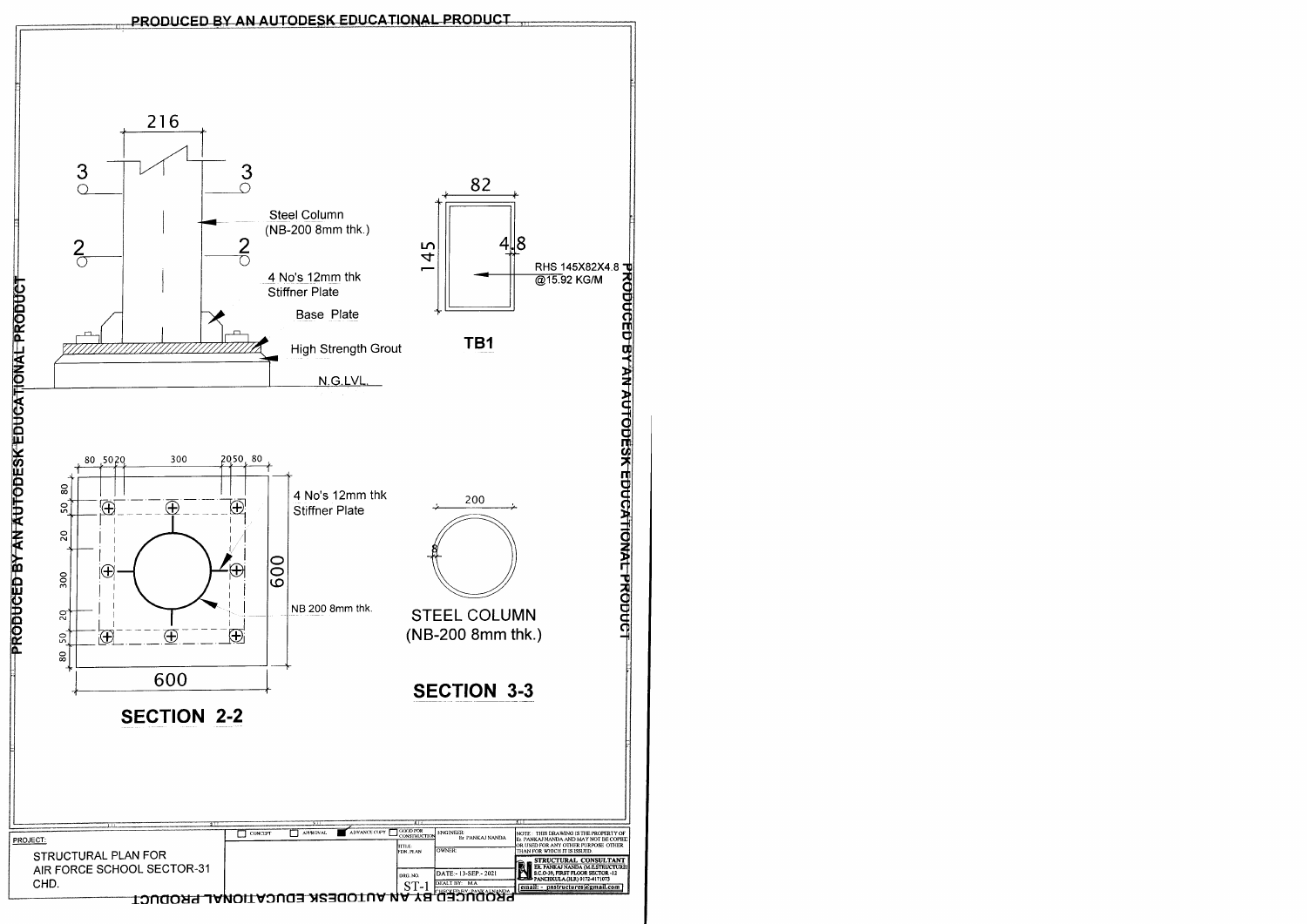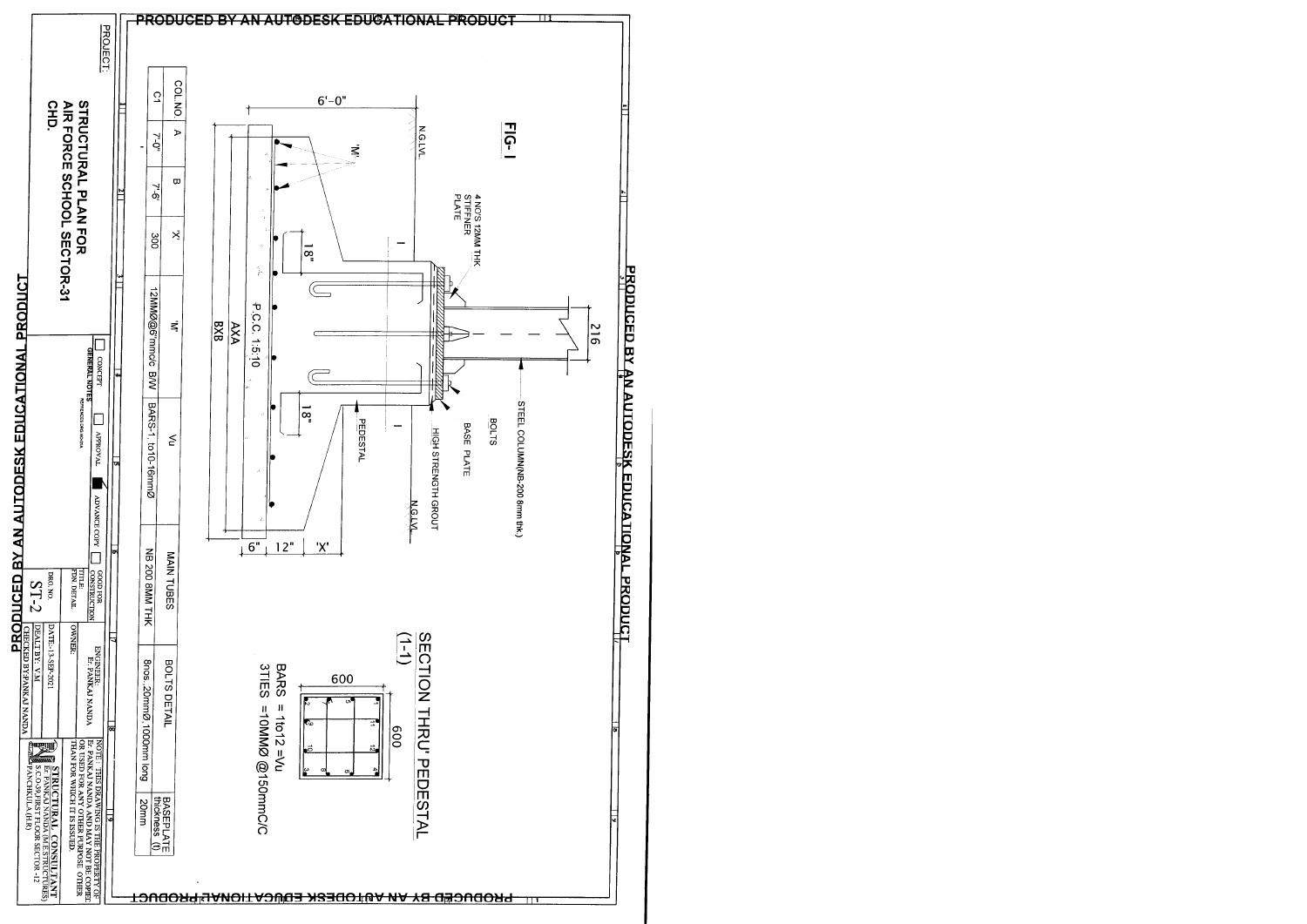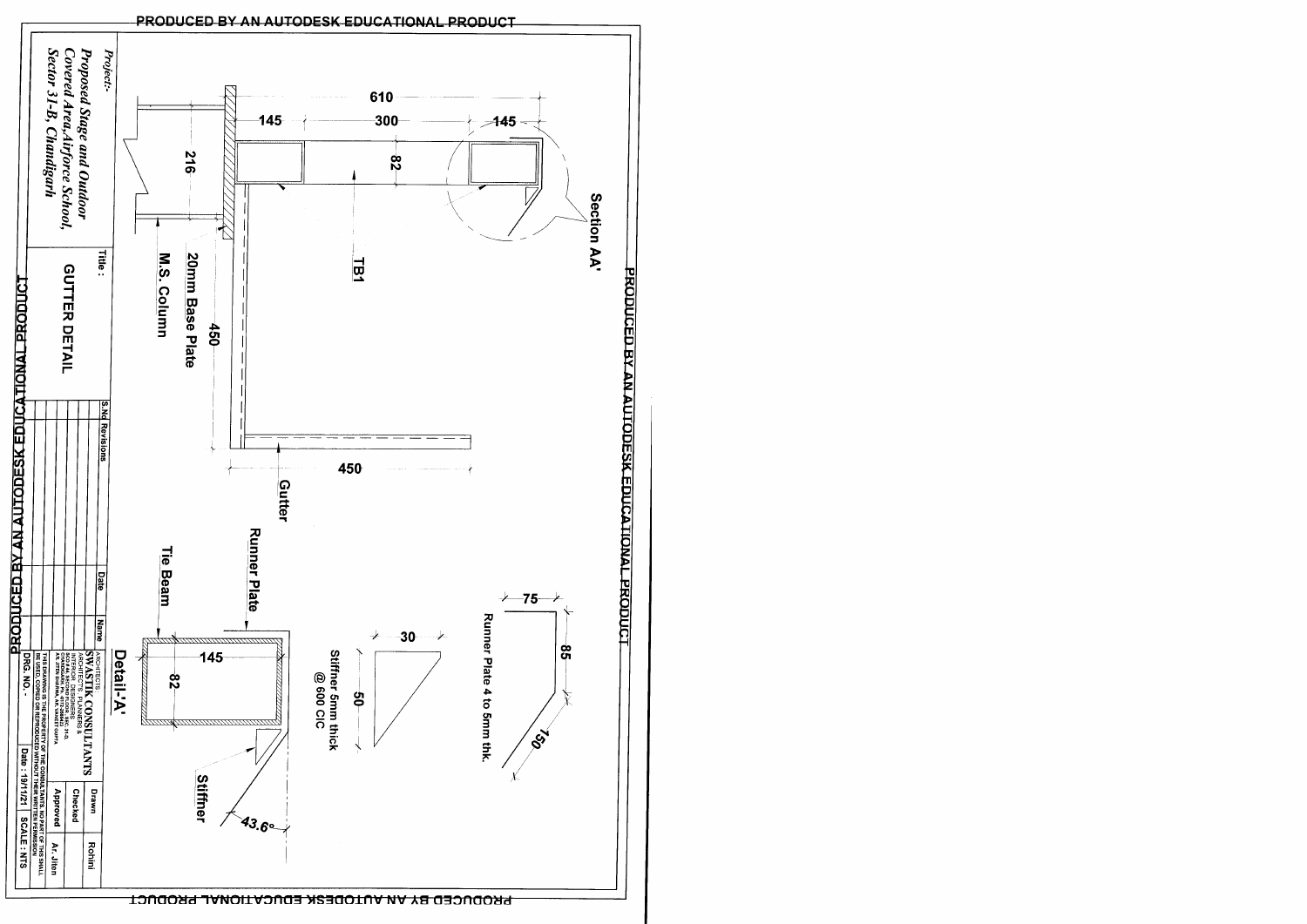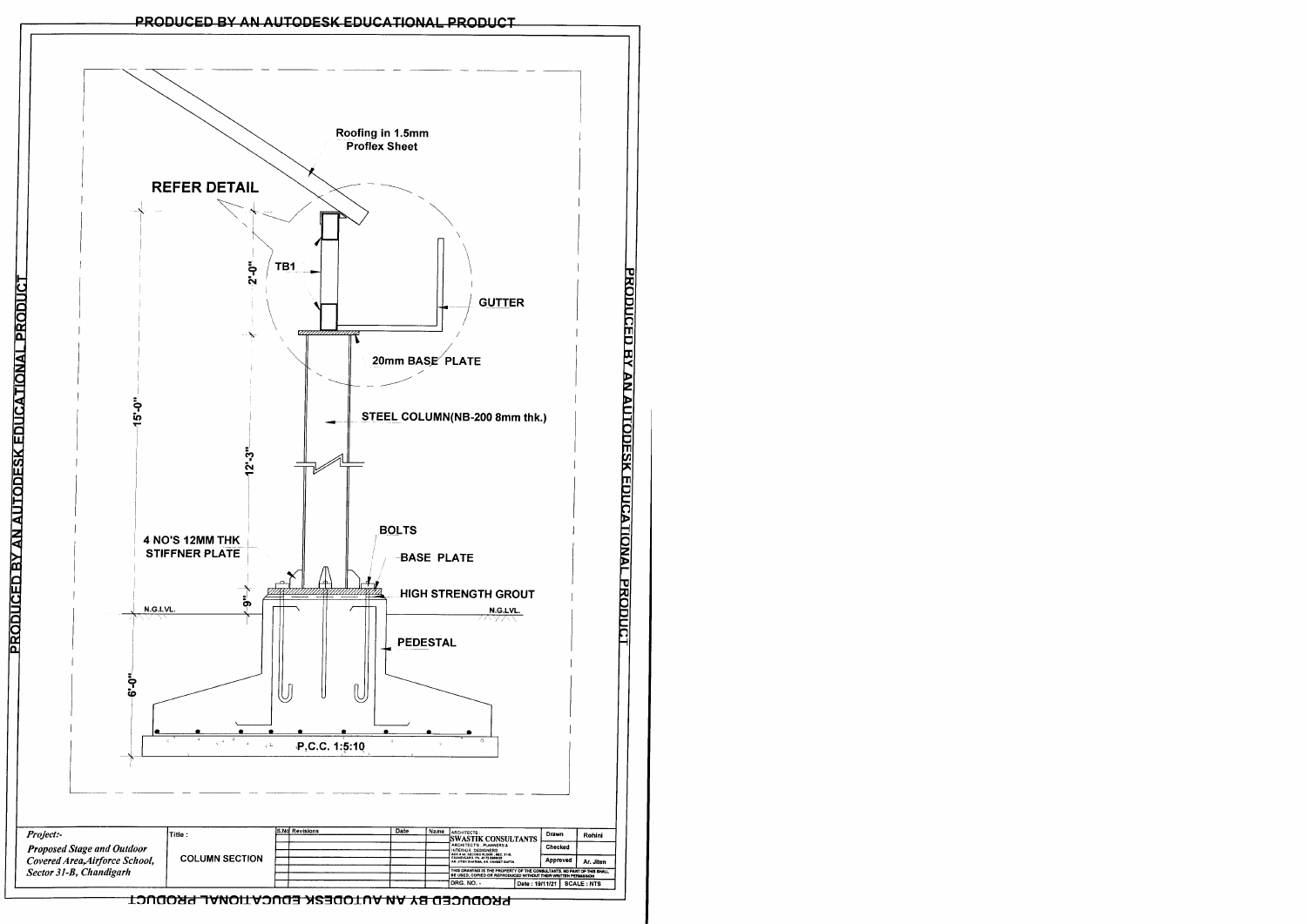